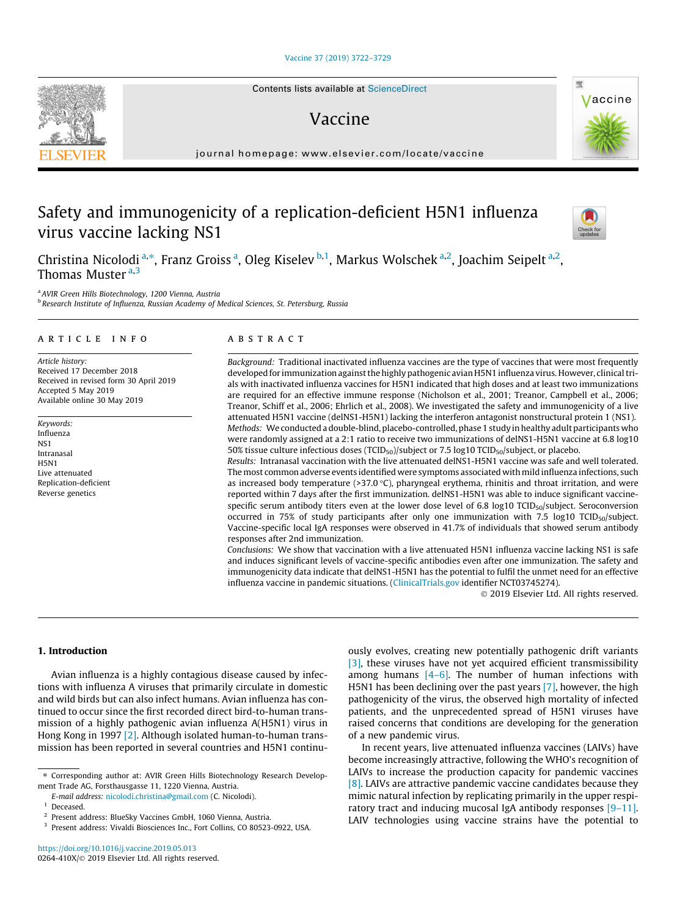# [Vaccine 37 \(2019\) 3722–3729](https://doi.org/10.1016/j.vaccine.2019.05.013)

Contents lists available at [ScienceDirect](http://www.sciencedirect.com/science/journal/0264410X)

# Vaccine

journal homepage: [www.elsevier.com/locate/vaccine](http://www.elsevier.com/locate/vaccine)

# Safety and immunogenicity of a replication-deficient H5N1 influenza virus vaccine lacking NS1

Christina Nicolodi <sup>a,\*</sup>, Franz Groiss <sup>a</sup>, Oleg Kiselev <sup>b,1</sup>, Markus Wolschek <sup>a,2</sup>, Joachim Seipelt <sup>a,2</sup>, Thomas Muster a, 3

<sup>a</sup> AVIR Green Hills Biotechnology, 1200 Vienna, Austria

**b Research Institute of Influenza, Russian Academy of Medical Sciences, St. Petersburg, Russia** 

## article info

Article history: Received 17 December 2018 Received in revised form 30 April 2019 Accepted 5 May 2019 Available online 30 May 2019

Keywords: Influenza NS1 Intranasal H5N1 Live attenuated Replication-deficient Reverse genetics

# ABSTRACT

Background: Traditional inactivated influenza vaccines are the type of vaccines that were most frequently developed for immunization against the highly pathogenic avian H5N1 influenza virus. However, clinical trials with inactivated influenza vaccines for H5N1 indicated that high doses and at least two immunizations are required for an effective immune response (Nicholson et al., 2001; Treanor, Campbell et al., 2006; Treanor, Schiff et al., 2006; Ehrlich et al., 2008). We investigated the safety and immunogenicity of a live attenuated H5N1 vaccine (delNS1-H5N1) lacking the interferon antagonist nonstructural protein 1 (NS1). Methods: We conducted a double-blind, placebo-controlled, phase 1 study in healthy adult participants who were randomly assigned at a 2:1 ratio to receive two immunizations of delNS1-H5N1 vaccine at 6.8 log10 50% tissue culture infectious doses (TCID<sub>50</sub>)/subject or 7.5 log10 TCID<sub>50</sub>/subject, or placebo.

Results: Intranasal vaccination with the live attenuated delNS1-H5N1 vaccine was safe and well tolerated. The most common adverse events identified were symptoms associated withmild influenza infections, such as increased body temperature (>37.0  $^{\circ}$ C), pharyngeal erythema, rhinitis and throat irritation, and were reported within 7 days after the first immunization. delNS1-H5N1 was able to induce significant vaccinespecific serum antibody titers even at the lower dose level of 6.8 log10 TCID<sub>50</sub>/subject. Seroconversion occurred in 75% of study participants after only one immunization with 7.5 log10 TCID<sub>50</sub>/subject. Vaccine-specific local IgA responses were observed in 41.7% of individuals that showed serum antibody responses after 2nd immunization.

Conclusions: We show that vaccination with a live attenuated H5N1 influenza vaccine lacking NS1 is safe and induces significant levels of vaccine-specific antibodies even after one immunization. The safety and immunogenicity data indicate that delNS1-H5N1 has the potential to fulfil the unmet need for an effective influenza vaccine in pandemic situations. ([ClinicalTrials.gov](http://ClinicalTrials.gov) identifier NCT03745274).

 $@$  2019 Elsevier Ltd. All rights reserved.

## 1. Introduction

Avian influenza is a highly contagious disease caused by infections with influenza A viruses that primarily circulate in domestic and wild birds but can also infect humans. Avian influenza has continued to occur since the first recorded direct bird-to-human transmission of a highly pathogenic avian influenza A(H5N1) virus in Hong Kong in 1997 [\[2\]](#page-6-0). Although isolated human-to-human transmission has been reported in several countries and H5N1 continuously evolves, creating new potentially pathogenic drift variants [\[3\]](#page-6-0), these viruses have not yet acquired efficient transmissibility among humans [\[4–6\]](#page-7-0). The number of human infections with H5N1 has been declining over the past years [\[7\]](#page-7-0), however, the high pathogenicity of the virus, the observed high mortality of infected patients, and the unprecedented spread of H5N1 viruses have raised concerns that conditions are developing for the generation of a new pandemic virus.

In recent years, live attenuated influenza vaccines (LAIVs) have become increasingly attractive, following the WHO's recognition of LAIVs to increase the production capacity for pandemic vaccines [\[8\]](#page-7-0). LAIVs are attractive pandemic vaccine candidates because they mimic natural infection by replicating primarily in the upper respiratory tract and inducing mucosal IgA antibody responses [\[9–11\].](#page-7-0) LAIV technologies using vaccine strains have the potential to







<sup>⇑</sup> Corresponding author at: AVIR Green Hills Biotechnology Research Development Trade AG, Forsthausgasse 11, 1220 Vienna, Austria.

E-mail address: [nicolodi.christina@gmail.com](mailto:nicolodi.christina@gmail.com) (C. Nicolodi).

**Deceased** 

<sup>2</sup> Present address: BlueSky Vaccines GmbH, 1060 Vienna, Austria.

<sup>&</sup>lt;sup>3</sup> Present address: Vivaldi Biosciences Inc., Fort Collins, CO 80523-0922, USA.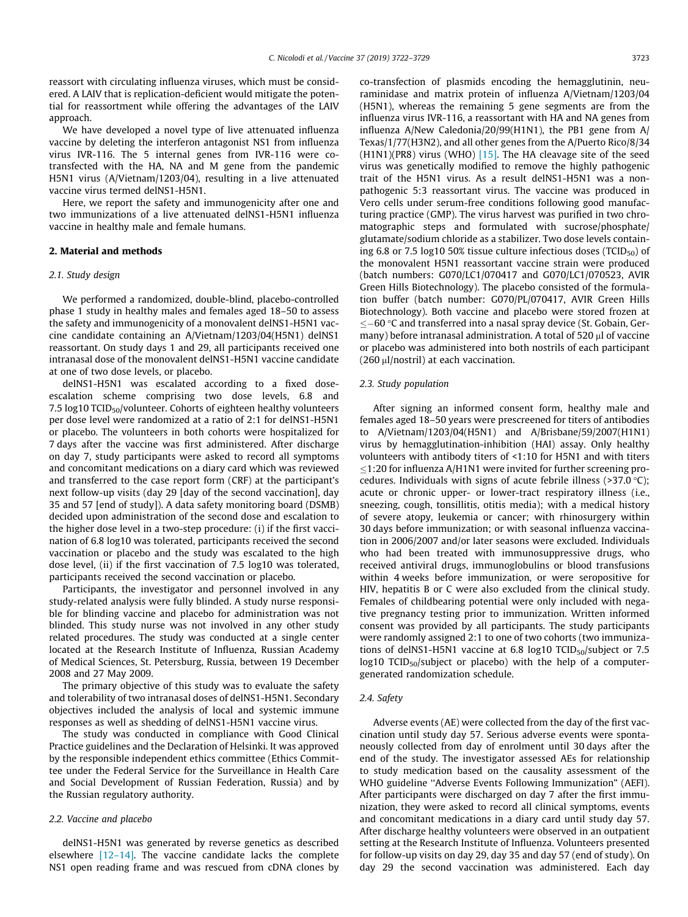reassort with circulating influenza viruses, which must be considered. A LAIV that is replication-deficient would mitigate the potential for reassortment while offering the advantages of the LAIV approach.

We have developed a novel type of live attenuated influenza vaccine by deleting the interferon antagonist NS1 from influenza virus IVR-116. The 5 internal genes from IVR-116 were cotransfected with the HA, NA and M gene from the pandemic H5N1 virus (A/Vietnam/1203/04), resulting in a live attenuated vaccine virus termed delNS1-H5N1.

Here, we report the safety and immunogenicity after one and two immunizations of a live attenuated delNS1-H5N1 influenza vaccine in healthy male and female humans.

## 2. Material and methods

## 2.1. Study design

We performed a randomized, double-blind, placebo-controlled phase 1 study in healthy males and females aged 18–50 to assess the safety and immunogenicity of a monovalent delNS1-H5N1 vaccine candidate containing an A/Vietnam/1203/04(H5N1) delNS1 reassortant. On study days 1 and 29, all participants received one intranasal dose of the monovalent delNS1-H5N1 vaccine candidate at one of two dose levels, or placebo.

delNS1-H5N1 was escalated according to a fixed doseescalation scheme comprising two dose levels, 6.8 and 7.5 log10 TCID<sub>50</sub>/volunteer. Cohorts of eighteen healthy volunteers per dose level were randomized at a ratio of 2:1 for delNS1-H5N1 or placebo. The volunteers in both cohorts were hospitalized for 7 days after the vaccine was first administered. After discharge on day 7, study participants were asked to record all symptoms and concomitant medications on a diary card which was reviewed and transferred to the case report form (CRF) at the participant's next follow-up visits (day 29 [day of the second vaccination], day 35 and 57 [end of study]). A data safety monitoring board (DSMB) decided upon administration of the second dose and escalation to the higher dose level in a two-step procedure: (i) if the first vaccination of 6.8 log10 was tolerated, participants received the second vaccination or placebo and the study was escalated to the high dose level, (ii) if the first vaccination of 7.5 log10 was tolerated, participants received the second vaccination or placebo.

Participants, the investigator and personnel involved in any study-related analysis were fully blinded. A study nurse responsible for blinding vaccine and placebo for administration was not blinded. This study nurse was not involved in any other study related procedures. The study was conducted at a single center located at the Research Institute of Influenza, Russian Academy of Medical Sciences, St. Petersburg, Russia, between 19 December 2008 and 27 May 2009.

The primary objective of this study was to evaluate the safety and tolerability of two intranasal doses of delNS1-H5N1. Secondary objectives included the analysis of local and systemic immune responses as well as shedding of delNS1-H5N1 vaccine virus.

The study was conducted in compliance with Good Clinical Practice guidelines and the Declaration of Helsinki. It was approved by the responsible independent ethics committee (Ethics Committee under the Federal Service for the Surveillance in Health Care and Social Development of Russian Federation, Russia) and by the Russian regulatory authority.

# 2.2. Vaccine and placebo

delNS1-H5N1 was generated by reverse genetics as described elsewhere  $[12-14]$ . The vaccine candidate lacks the complete NS1 open reading frame and was rescued from cDNA clones by co-transfection of plasmids encoding the hemagglutinin, neuraminidase and matrix protein of influenza A/Vietnam/1203/04 (H5N1), whereas the remaining 5 gene segments are from the influenza virus IVR-116, a reassortant with HA and NA genes from influenza A/New Caledonia/20/99(H1N1), the PB1 gene from A/ Texas/1/77(H3N2), and all other genes from the A/Puerto Rico/8/34  $(H1N1)(PR8)$  virus (WHO) [\[15\]](#page-7-0). The HA cleavage site of the seed virus was genetically modified to remove the highly pathogenic trait of the H5N1 virus. As a result delNS1-H5N1 was a nonpathogenic 5:3 reassortant virus. The vaccine was produced in Vero cells under serum-free conditions following good manufacturing practice (GMP). The virus harvest was purified in two chromatographic steps and formulated with sucrose/phosphate/ glutamate/sodium chloride as a stabilizer. Two dose levels containing 6.8 or 7.5 log10 50% tissue culture infectious doses (TCID $_{50}$ ) of the monovalent H5N1 reassortant vaccine strain were produced (batch numbers: G070/LC1/070417 and G070/LC1/070523, AVIR Green Hills Biotechnology). The placebo consisted of the formulation buffer (batch number: G070/PL/070417, AVIR Green Hills Biotechnology). Both vaccine and placebo were stored frozen at  $\leq$  -60 °C and transferred into a nasal spray device (St. Gobain, Germany) before intranasal administration. A total of 520  $\mu$ l of vaccine or placebo was administered into both nostrils of each participant  $(260 \mu l/nostril)$  at each vaccination.

#### 2.3. Study population

After signing an informed consent form, healthy male and females aged 18–50 years were prescreened for titers of antibodies to A/Vietnam/1203/04(H5N1) and A/Brisbane/59/2007(H1N1) virus by hemagglutination-inhibition (HAI) assay. Only healthy volunteers with antibody titers of <1:10 for H5N1 and with titers  $\leq$ 1:20 for influenza A/H1N1 were invited for further screening procedures. Individuals with signs of acute febrile illness (>37.0  $°C$ ); acute or chronic upper- or lower-tract respiratory illness (i.e., sneezing, cough, tonsillitis, otitis media); with a medical history of severe atopy, leukemia or cancer; with rhinosurgery within 30 days before immunization; or with seasonal influenza vaccination in 2006/2007 and/or later seasons were excluded. Individuals who had been treated with immunosuppressive drugs, who received antiviral drugs, immunoglobulins or blood transfusions within 4 weeks before immunization, or were seropositive for HIV, hepatitis B or C were also excluded from the clinical study. Females of childbearing potential were only included with negative pregnancy testing prior to immunization. Written informed consent was provided by all participants. The study participants were randomly assigned 2:1 to one of two cohorts (two immunizations of delNS1-H5N1 vaccine at 6.8 log10  $TCID_{50}/subject$  or 7.5  $log10$  TCID<sub>50</sub>/subject or placebo) with the help of a computergenerated randomization schedule.

#### 2.4. Safety

Adverse events (AE) were collected from the day of the first vaccination until study day 57. Serious adverse events were spontaneously collected from day of enrolment until 30 days after the end of the study. The investigator assessed AEs for relationship to study medication based on the causality assessment of the WHO guideline ''Adverse Events Following Immunization" (AEFI). After participants were discharged on day 7 after the first immunization, they were asked to record all clinical symptoms, events and concomitant medications in a diary card until study day 57. After discharge healthy volunteers were observed in an outpatient setting at the Research Institute of Influenza. Volunteers presented for follow-up visits on day 29, day 35 and day 57 (end of study). On day 29 the second vaccination was administered. Each day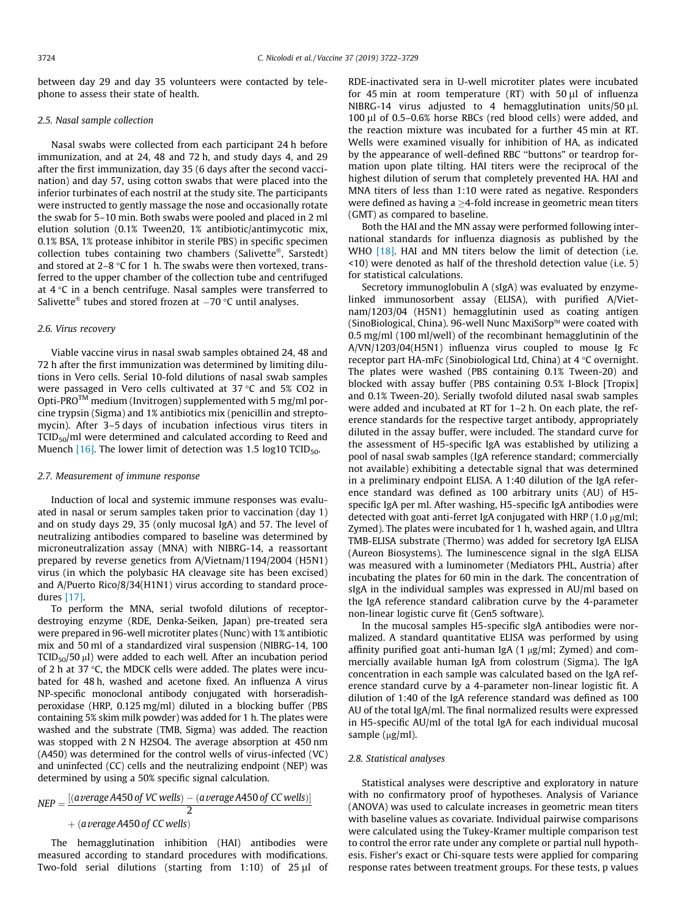between day 29 and day 35 volunteers were contacted by telephone to assess their state of health.

#### 2.5. Nasal sample collection

Nasal swabs were collected from each participant 24 h before immunization, and at 24, 48 and 72 h, and study days 4, and 29 after the first immunization, day 35 (6 days after the second vaccination) and day 57, using cotton swabs that were placed into the inferior turbinates of each nostril at the study site. The participants were instructed to gently massage the nose and occasionally rotate the swab for 5–10 min. Both swabs were pooled and placed in 2 ml elution solution (0.1% Tween20, 1% antibiotic/antimycotic mix, 0.1% BSA, 1% protease inhibitor in sterile PBS) in specific specimen collection tubes containing two chambers (Salivette<sup>®</sup>, Sarstedt) and stored at  $2-8$  °C for 1 h. The swabs were then vortexed, transferred to the upper chamber of the collection tube and centrifuged at  $4^{\circ}$ C in a bench centrifuge. Nasal samples were transferred to Salivette<sup>®</sup> tubes and stored frozen at  $-70$  °C until analyses.

#### 2.6. Virus recovery

Viable vaccine virus in nasal swab samples obtained 24, 48 and 72 h after the first immunization was determined by limiting dilutions in Vero cells. Serial 10-fold dilutions of nasal swab samples were passaged in Vero cells cultivated at  $37 \degree C$  and  $5\%$  CO2 in Opti-PRO<sup>TM</sup> medium (Invitrogen) supplemented with 5 mg/ml porcine trypsin (Sigma) and 1% antibiotics mix (penicillin and streptomycin). After 3–5 days of incubation infectious virus titers in TCID<sub>50</sub>/ml were determined and calculated according to Reed and Muench  $[16]$ . The lower limit of detection was 1.5 log10 TCID<sub>50</sub>.

#### 2.7. Measurement of immune response

Induction of local and systemic immune responses was evaluated in nasal or serum samples taken prior to vaccination (day 1) and on study days 29, 35 (only mucosal IgA) and 57. The level of neutralizing antibodies compared to baseline was determined by microneutralization assay (MNA) with NIBRG-14, a reassortant prepared by reverse genetics from A/Vietnam/1194/2004 (H5N1) virus (in which the polybasic HA cleavage site has been excised) and A/Puerto Rico/8/34(H1N1) virus according to standard procedures [\[17\].](#page-7-0)

To perform the MNA, serial twofold dilutions of receptordestroying enzyme (RDE, Denka-Seiken, Japan) pre-treated sera were prepared in 96-well microtiter plates (Nunc) with 1% antibiotic mix and 50 ml of a standardized viral suspension (NIBRG-14, 100  $TCID<sub>50</sub>/50 \mu l$ ) were added to each well. After an incubation period of 2 h at 37  $\degree$ C, the MDCK cells were added. The plates were incubated for 48 h, washed and acetone fixed. An influenza A virus NP-specific monoclonal antibody conjugated with horseradishperoxidase (HRP, 0.125 mg/ml) diluted in a blocking buffer (PBS containing 5% skim milk powder) was added for 1 h. The plates were washed and the substrate (TMB, Sigma) was added. The reaction was stopped with 2 N H2SO4. The average absorption at 450 nm (A450) was determined for the control wells of virus-infected (VC) and uninfected (CC) cells and the neutralizing endpoint (NEP) was determined by using a 50% specific signal calculation.

$$
NEP = \frac{[(a \text{verage A450 of VC wells}) - (a \text{verage A450 of CC wells})]}{2}
$$
  
+ (a \text{verage A450 of CC wells})

The hemagglutination inhibition (HAI) antibodies were measured according to standard procedures with modifications. Two-fold serial dilutions (starting from  $1:10$ ) of  $25 \mu l$  of RDE-inactivated sera in U-well microtiter plates were incubated for 45 min at room temperature  $(RT)$  with 50  $\mu$ l of influenza NIBRG-14 virus adjusted to 4 hemagglutination units/50 ul. 100 µl of 0.5–0.6% horse RBCs (red blood cells) were added, and the reaction mixture was incubated for a further 45 min at RT. Wells were examined visually for inhibition of HA, as indicated by the appearance of well-defined RBC ''buttons" or teardrop formation upon plate tilting. HAI titers were the reciprocal of the highest dilution of serum that completely prevented HA. HAI and MNA titers of less than 1:10 were rated as negative. Responders were defined as having a  $\geq$ 4-fold increase in geometric mean titers (GMT) as compared to baseline.

Both the HAI and the MN assay were performed following international standards for influenza diagnosis as published by the WHO [\[18\]](#page-7-0). HAI and MN titers below the limit of detection (i.e. <10) were denoted as half of the threshold detection value (i.e. 5) for statistical calculations.

Secretory immunoglobulin A (sIgA) was evaluated by enzymelinked immunosorbent assay (ELISA), with purified A/Vietnam/1203/04 (H5N1) hemagglutinin used as coating antigen (SinoBiological, China). 96-well Nunc MaxiSorp™ were coated with 0.5 mg/ml (100 ml/well) of the recombinant hemagglutinin of the A/VN/1203/04(H5N1) influenza virus coupled to mouse Ig Fc receptor part HA-mFc (Sinobiological Ltd, China) at  $4^{\circ}$ C overnight. The plates were washed (PBS containing 0.1% Tween-20) and blocked with assay buffer (PBS containing 0.5% I-Block [Tropix] and 0.1% Tween-20). Serially twofold diluted nasal swab samples were added and incubated at RT for 1–2 h. On each plate, the reference standards for the respective target antibody, appropriately diluted in the assay buffer, were included. The standard curve for the assessment of H5-specific IgA was established by utilizing a pool of nasal swab samples (IgA reference standard; commercially not available) exhibiting a detectable signal that was determined in a preliminary endpoint ELISA. A 1:40 dilution of the IgA reference standard was defined as 100 arbitrary units (AU) of H5 specific IgA per ml. After washing, H5-specific IgA antibodies were detected with goat anti-ferret IgA conjugated with HRP  $(1.0 \,\mu\text{g/ml})$ ; Zymed). The plates were incubated for 1 h, washed again, and Ultra TMB-ELISA substrate (Thermo) was added for secretory IgA ELISA (Aureon Biosystems). The luminescence signal in the sIgA ELISA was measured with a luminometer (Mediators PHL, Austria) after incubating the plates for 60 min in the dark. The concentration of sIgA in the individual samples was expressed in AU/ml based on the IgA reference standard calibration curve by the 4-parameter non-linear logistic curve fit (Gen5 software).

In the mucosal samples H5-specific sIgA antibodies were normalized. A standard quantitative ELISA was performed by using affinity purified goat anti-human IgA  $(1 \mu g/ml)$ ; Zymed) and commercially available human IgA from colostrum (Sigma). The IgA concentration in each sample was calculated based on the IgA reference standard curve by a 4-parameter non-linear logistic fit. A dilution of 1:40 of the IgA reference standard was defined as 100 AU of the total IgA/ml. The final normalized results were expressed in H5-specific AU/ml of the total IgA for each individual mucosal sample (µg/ml).

#### 2.8. Statistical analyses

Statistical analyses were descriptive and exploratory in nature with no confirmatory proof of hypotheses. Analysis of Variance (ANOVA) was used to calculate increases in geometric mean titers with baseline values as covariate. Individual pairwise comparisons were calculated using the Tukey-Kramer multiple comparison test to control the error rate under any complete or partial null hypothesis. Fisher's exact or Chi-square tests were applied for comparing response rates between treatment groups. For these tests, p values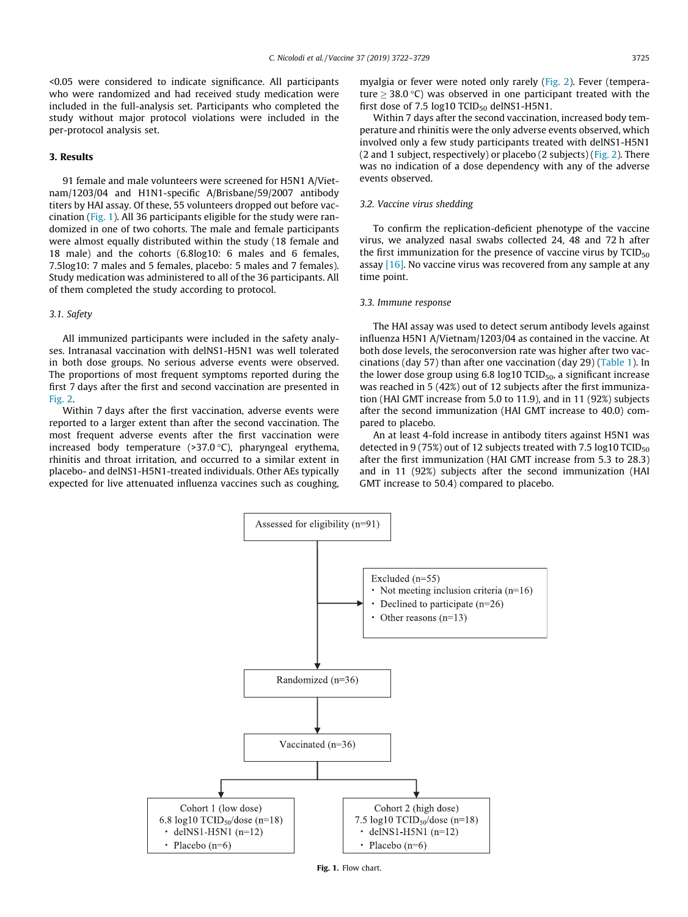<0.05 were considered to indicate significance. All participants who were randomized and had received study medication were included in the full-analysis set. Participants who completed the study without major protocol violations were included in the per-protocol analysis set.

# 3. Results

91 female and male volunteers were screened for H5N1 A/Vietnam/1203/04 and H1N1-specific A/Brisbane/59/2007 antibody titers by HAI assay. Of these, 55 volunteers dropped out before vaccination (Fig. 1). All 36 participants eligible for the study were randomized in one of two cohorts. The male and female participants were almost equally distributed within the study (18 female and 18 male) and the cohorts (6.8log10: 6 males and 6 females, 7.5log10: 7 males and 5 females, placebo: 5 males and 7 females). Study medication was administered to all of the 36 participants. All of them completed the study according to protocol.

# 3.1. Safety

All immunized participants were included in the safety analyses. Intranasal vaccination with delNS1-H5N1 was well tolerated in both dose groups. No serious adverse events were observed. The proportions of most frequent symptoms reported during the first 7 days after the first and second vaccination are presented in [Fig. 2.](#page-4-0)

Within 7 days after the first vaccination, adverse events were reported to a larger extent than after the second vaccination. The most frequent adverse events after the first vaccination were increased body temperature  $(>37.0 °C)$ , pharyngeal erythema, rhinitis and throat irritation, and occurred to a similar extent in placebo- and delNS1-H5N1-treated individuals. Other AEs typically expected for live attenuated influenza vaccines such as coughing, myalgia or fever were noted only rarely [\(Fig. 2](#page-4-0)). Fever (temperature  $> 38.0$  °C) was observed in one participant treated with the first dose of 7.5  $log10$  TCID<sub>50</sub> delNS1-H5N1.

Within 7 days after the second vaccination, increased body temperature and rhinitis were the only adverse events observed, which involved only a few study participants treated with delNS1-H5N1 (2 and 1 subject, respectively) or placebo (2 subjects) ([Fig. 2](#page-4-0)). There was no indication of a dose dependency with any of the adverse events observed.

## 3.2. Vaccine virus shedding

To confirm the replication-deficient phenotype of the vaccine virus, we analyzed nasal swabs collected 24, 48 and 72 h after the first immunization for the presence of vaccine virus by  $TCID_{50}$ assay [\[16\]](#page-7-0). No vaccine virus was recovered from any sample at any time point.

#### 3.3. Immune response

The HAI assay was used to detect serum antibody levels against influenza H5N1 A/Vietnam/1203/04 as contained in the vaccine. At both dose levels, the seroconversion rate was higher after two vaccinations (day 57) than after one vaccination (day 29) [\(Table 1\)](#page-5-0). In the lower dose group using  $6.8 \log 10$  TCID<sub>50</sub>, a significant increase was reached in 5 (42%) out of 12 subjects after the first immunization (HAI GMT increase from 5.0 to 11.9), and in 11 (92%) subjects after the second immunization (HAI GMT increase to 40.0) compared to placebo.

An at least 4-fold increase in antibody titers against H5N1 was detected in 9 (75%) out of 12 subjects treated with 7.5 log10 TCID<sub>50</sub> after the first immunization (HAI GMT increase from 5.3 to 28.3) and in 11 (92%) subjects after the second immunization (HAI GMT increase to 50.4) compared to placebo.



Fig. 1. Flow chart.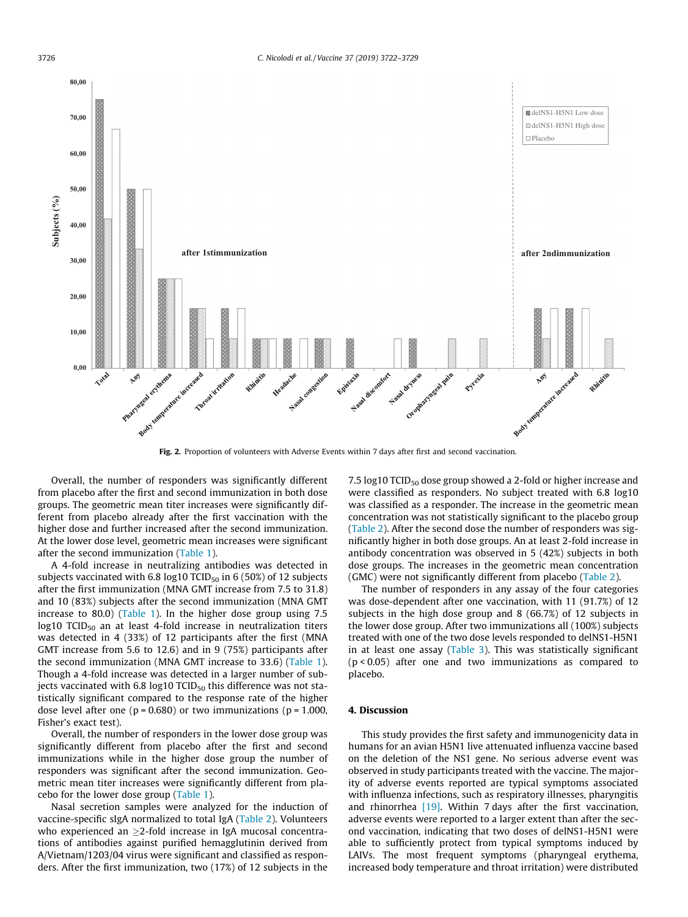<span id="page-4-0"></span>

Fig. 2. Proportion of volunteers with Adverse Events within 7 days after first and second vaccination.

Overall, the number of responders was significantly different from placebo after the first and second immunization in both dose groups. The geometric mean titer increases were significantly different from placebo already after the first vaccination with the higher dose and further increased after the second immunization. At the lower dose level, geometric mean increases were significant after the second immunization ([Table 1\)](#page-5-0).

A 4-fold increase in neutralizing antibodies was detected in subjects vaccinated with 6.8 log10 TCID<sub>50</sub> in 6 (50%) of 12 subjects after the first immunization (MNA GMT increase from 7.5 to 31.8) and 10 (83%) subjects after the second immunization (MNA GMT increase to 80.0) ([Table 1\)](#page-5-0). In the higher dose group using 7.5  $log10$  TCID<sub>50</sub> an at least 4-fold increase in neutralization titers was detected in 4 (33%) of 12 participants after the first (MNA GMT increase from 5.6 to 12.6) and in 9 (75%) participants after the second immunization (MNA GMT increase to 33.6) ([Table 1\)](#page-5-0). Though a 4-fold increase was detected in a larger number of subjects vaccinated with 6.8 log10 TCID $_{50}$  this difference was not statistically significant compared to the response rate of the higher dose level after one ( $p = 0.680$ ) or two immunizations ( $p = 1.000$ , Fisher's exact test).

Overall, the number of responders in the lower dose group was significantly different from placebo after the first and second immunizations while in the higher dose group the number of responders was significant after the second immunization. Geometric mean titer increases were significantly different from placebo for the lower dose group [\(Table 1\)](#page-5-0).

Nasal secretion samples were analyzed for the induction of vaccine-specific sIgA normalized to total IgA [\(Table 2](#page-6-0)). Volunteers who experienced an  $>2$ -fold increase in IgA mucosal concentrations of antibodies against purified hemagglutinin derived from A/Vietnam/1203/04 virus were significant and classified as responders. After the first immunization, two (17%) of 12 subjects in the

7.5 log10 TCID<sub>50</sub> dose group showed a 2-fold or higher increase and were classified as responders. No subject treated with 6.8 log10 was classified as a responder. The increase in the geometric mean concentration was not statistically significant to the placebo group ([Table 2\)](#page-6-0). After the second dose the number of responders was significantly higher in both dose groups. An at least 2-fold increase in antibody concentration was observed in 5 (42%) subjects in both dose groups. The increases in the geometric mean concentration (GMC) were not significantly different from placebo [\(Table 2](#page-6-0)).

The number of responders in any assay of the four categories was dose-dependent after one vaccination, with 11 (91.7%) of 12 subjects in the high dose group and 8 (66.7%) of 12 subjects in the lower dose group. After two immunizations all (100%) subjects treated with one of the two dose levels responded to delNS1-H5N1 in at least one assay [\(Table 3](#page-6-0)). This was statistically significant (p < 0.05) after one and two immunizations as compared to placebo.

# 4. Discussion

This study provides the first safety and immunogenicity data in humans for an avian H5N1 live attenuated influenza vaccine based on the deletion of the NS1 gene. No serious adverse event was observed in study participants treated with the vaccine. The majority of adverse events reported are typical symptoms associated with influenza infections, such as respiratory illnesses, pharyngitis and rhinorrhea [\[19\]](#page-7-0). Within 7 days after the first vaccination, adverse events were reported to a larger extent than after the second vaccination, indicating that two doses of delNS1-H5N1 were able to sufficiently protect from typical symptoms induced by LAIVs. The most frequent symptoms (pharyngeal erythema, increased body temperature and throat irritation) were distributed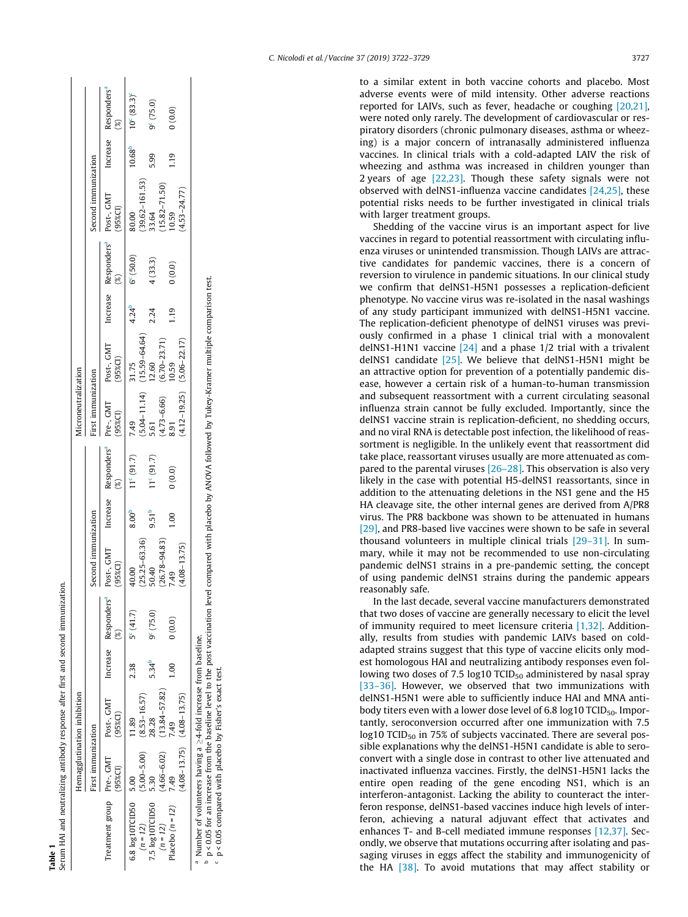<span id="page-5-0"></span>

| Table 1                            |                                   | Serum HAI and neutralizing antibody response after first and second immunization.   |               |                    |                                                                    |                   |                   |                                   |                                                                                |            |                    |                               |             |                                  |
|------------------------------------|-----------------------------------|-------------------------------------------------------------------------------------|---------------|--------------------|--------------------------------------------------------------------|-------------------|-------------------|-----------------------------------|--------------------------------------------------------------------------------|------------|--------------------|-------------------------------|-------------|----------------------------------|
|                                    | Hemagglutination inhibition       |                                                                                     |               |                    |                                                                    |                   |                   | Microneutralization               |                                                                                |            |                    |                               |             |                                  |
|                                    | First immunization                |                                                                                     |               |                    | Second immunization                                                |                   |                   | irst immunization                 |                                                                                |            |                    | Second immunization           |             |                                  |
|                                    | 95%CI)                            | Treatment group Pre-, GMT Post-, GMT Increase Responders <sup>a</sup><br>$(95%$ CI) |               |                    | Post-, GMT Increase Responders <sup>a</sup><br>(95% <sup>2</sup> ) |                   |                   | (95%Cl)                           | Pre-, GMT Post-, GMT Increase Responders <sup>a</sup> Post-, GMT<br>$(95\%CI)$ |            |                    | (95% <sub>C</sub> )           |             | Increase Responders <sup>ª</sup> |
| 6.8 log10TCID50 5.00<br>$(n = 12)$ | $(5.00 - 5.00)$ $(8.53 - 16.57)$  | 1.89                                                                                | 2.38          | $5^{\circ}$ (41.7) | $(25.25 - 63.36)$<br>40.00                                         | 8.00 <sup>b</sup> | $11c (91.7)$ 7.49 | $(5.04 - 11.14)$                  | 31.75                                                                          | $4.24^{b}$ | $6^{\circ}$ (50.0) | 80.00                         | $10.68^{b}$ | $10^{c}$ (83.3) <sup>c</sup>     |
| 7.5 log10TCID50                    | 5.30                              | 28.28                                                                               | $5.34^{b}$    | $9^c(75.0)$        | 50.40                                                              | $9.51^{b}$        | $11^c(91.7)$      | 5.61                              | $(15.59 - 64.64)$<br>$12.60$                                                   | 2.24       | 4(33.3)            | $(39.62 - 161.53)$<br>$33.64$ | 5.99        | 9 <sup>c</sup> (75.0)            |
| $(n = 12)$                         | $(4.66 - 6.02)$                   | $(13.84 - 57.82)$                                                                   |               |                    | $(26.78 - 94.83)$                                                  |                   |                   | $(4.73 - 6.66)$<br>8.91           | $(6.70 - 23.71)$<br>10.59                                                      |            |                    | $(15.82 - 71.50)$<br>10.59    |             |                                  |
| Placebo $(n = 12)$                 | 7.49                              |                                                                                     | $\frac{8}{1}$ | 0(0.0)             | 7.49                                                               | $\frac{8}{1}$     | (0.0)0            |                                   |                                                                                | 1.19       | (0.0)0             |                               | 1.19        | (0.0)0                           |
|                                    | $(4.08 - 13.75)$ $(4.08 - 13.75)$ |                                                                                     |               |                    | $(4.08 - 13.75)$                                                   |                   |                   | $(4.12 - 19.25)$ $(5.06 - 22.17)$ |                                                                                |            |                    | $(4.53 - 24.77)$              |             |                                  |

<sup>a</sup> Number of volunteers having a  $\geq$ 4-fold increase from baseline.

b p < 0.05 for an increase from the baseline level to the post vaccination level compared with placebo by ANOVA followed by Tukey-Kramer multiple comparison test<br>° p < 0.05 compared with placebo by Fisher's exact test.  $^{\circ}$  Number of volunteers having a  $\geq$  4-fold increase from baseline. baseline.

p < 0.05 for an increase from the baseline level to the post vaccination level compared with placebo by ANOVA followed by Tukey-Kramer multiple comparison test. c p < 0.05 compared with placebo by Fisher's exact test.

C. Nicolodi et al. / Vaccine 37 (2019) 3722–3729 3727

to a similar extent in both vaccine cohorts and placebo. Most adverse events were of mild intensity. Other adverse reactions reported for LAIVs, such as fever, headache or coughing [\[20,21\],](#page-7-0) were noted only rarely. The development of cardiovascular or respiratory disorders (chronic pulmonary diseases, asthma or wheezing) is a major concern of intranasally administered influenza vaccines. In clinical trials with a cold-adapted LAIV the risk of wheezing and asthma was increased in children younger than 2 years of age [\[22,23\]](#page-7-0). Though these safety signals were not observed with delNS1-influenza vaccine candidates [\[24,25\],](#page-7-0) these potential risks needs to be further investigated in clinical trials with larger treatment groups.

Shedding of the vaccine virus is an important aspect for live vaccines in regard to potential reassortment with circulating influenza viruses or unintended transmission. Though LAIVs are attractive candidates for pandemic vaccines, there is a concern of reversion to virulence in pandemic situations. In our clinical study we confirm that delNS1-H5N1 possesses a replication-deficient phenotype. No vaccine virus was re-isolated in the nasal washings of any study participant immunized with delNS1-H5N1 vaccine. The replication-deficient phenotype of delNS1 viruses was previously confirmed in a phase 1 clinical trial with a monovalent delNS1-H1N1 vaccine  $[24]$  and a phase 1/2 trial with a trivalent delNS1 candidate [\[25\]](#page-7-0). We believe that delNS1-H5N1 might be an attractive option for prevention of a potentially pandemic disease, however a certain risk of a human-to-human transmission and subsequent reassortment with a current circulating seasonal influenza strain cannot be fully excluded. Importantly, since the delNS1 vaccine strain is replication-deficient, no shedding occurs, and no viral RNA is detectable post infection, the likelihood of reassortment is negligible. In the unlikely event that reassortment did take place, reassortant viruses usually are more attenuated as compared to the parental viruses  $[26-28]$ . This observation is also very likely in the case with potential H5-delNS1 reassortants, since in addition to the attenuating deletions in the NS1 gene and the H5 HA cleavage site, the other internal genes are derived from A/PR8 virus. The PR8 backbone was shown to be attenuated in humans [\[29\]](#page-7-0), and PR8-based live vaccines were shown to be safe in several thousand volunteers in multiple clinical trials [\[29–31\].](#page-7-0) In summary, while it may not be recommended to use non-circulating pandemic delNS1 strains in a pre-pandemic setting, the concept of using pandemic delNS1 strains during the pandemic appears reasonably safe.

In the last decade, several vaccine manufacturers demonstrated that two doses of vaccine are generally necessary to elicit the level of immunity required to meet licensure criteria [\[1,32\]](#page-6-0). Additionally, results from studies with pandemic LAIVs based on coldadapted strains suggest that this type of vaccine elicits only modest homologous HAI and neutralizing antibody responses even following two doses of 7.5 log10  $TCID_{50}$  administered by nasal spray [\[33–36\]](#page-7-0). However, we observed that two immunizations with delNS1-H5N1 were able to sufficiently induce HAI and MNA antibody titers even with a lower dose level of 6.8  $log 10$  TCID<sub>50</sub>. Importantly, seroconversion occurred after one immunization with 7.5 log10 TCID<sub>50</sub> in 75% of subjects vaccinated. There are several possible explanations why the delNS1-H5N1 candidate is able to seroconvert with a single dose in contrast to other live attenuated and inactivated influenza vaccines. Firstly, the delNS1-H5N1 lacks the entire open reading of the gene encoding NS1, which is an interferon-antagonist. Lacking the ability to counteract the interferon response, delNS1-based vaccines induce high levels of interferon, achieving a natural adjuvant effect that activates and enhances T- and B-cell mediated immune responses [\[12,37\].](#page-7-0) Secondly, we observe that mutations occurring after isolating and passaging viruses in eggs affect the stability and immunogenicity of the HA [\[38\].](#page-7-0) To avoid mutations that may affect stability or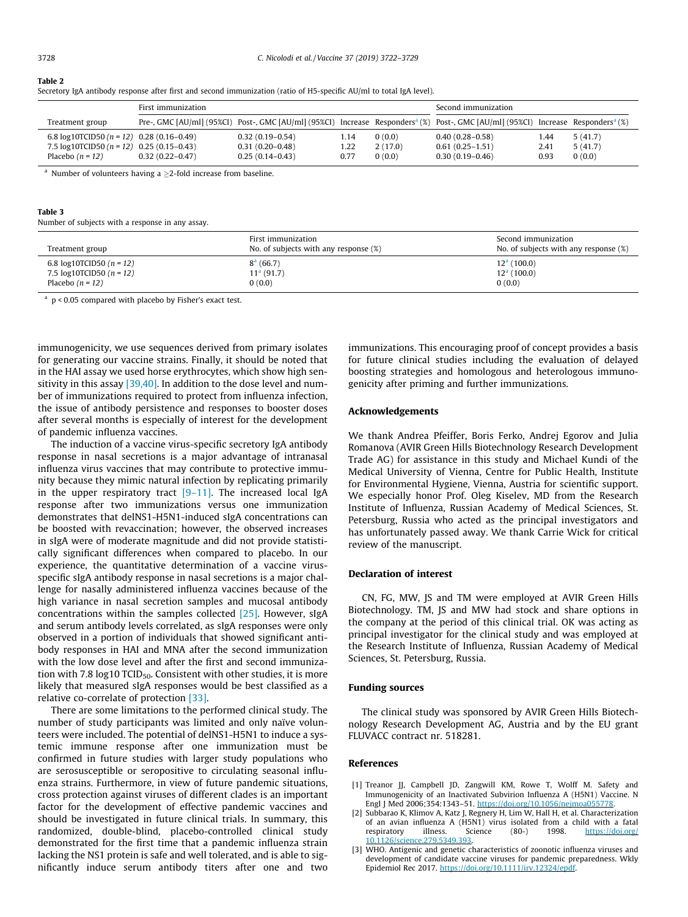#### <span id="page-6-0"></span>Table 2

|  | Secretory IgA antibody response after first and second immunization (ratio of H5-specific AU/ml to total IgA level). |  |  |  |  |  |  |  |  |  |
|--|----------------------------------------------------------------------------------------------------------------------|--|--|--|--|--|--|--|--|--|
|  |                                                                                                                      |  |  |  |  |  |  |  |  |  |

|                                               | First immunization  |                   | Second immunization |         |                                                                                                                                                           |      |         |
|-----------------------------------------------|---------------------|-------------------|---------------------|---------|-----------------------------------------------------------------------------------------------------------------------------------------------------------|------|---------|
| Treatment group                               |                     |                   |                     |         | Pre-, GMC [AU/ml] (95%CI) Post-, GMC [AU/ml] (95%CI) Increase Responders <sup>a</sup> (%) Post-, GMC [AU/ml] (95%CI) Increase Responders <sup>a</sup> (%) |      |         |
| 6.8 log10TCID50 ( $n = 12$ ) 0.28 (0.16-0.49) |                     | $0.32(0.19-0.54)$ | 1.14                | 0(0.0)  | $0.40(0.28 - 0.58)$                                                                                                                                       | 1.44 | 5(41.7) |
| 7.5 $log10$ TCID50 (n = 12) 0.25 (0.15-0.43)  |                     | $0.31(0.20-0.48)$ | 1.22                | 2(17.0) | $0.61(0.25-1.51)$                                                                                                                                         | 2.41 | 5(41.7) |
| Placebo $(n = 12)$                            | $0.32(0.22 - 0.47)$ | $0.25(0.14-0.43)$ | 0.77                | 0(0.0)  | $0.30(0.19 - 0.46)$                                                                                                                                       | 0.93 | 0(0.0)  |

<sup>a</sup> Number of volunteers having a  $\geq$ 2-fold increase from baseline.

#### Table 3

Number of subjects with a response in any assay.

| Treatment group               | First immunization<br>No. of subjects with any response (%) | Second immunization<br>No. of subjects with any response (%) |
|-------------------------------|-------------------------------------------------------------|--------------------------------------------------------------|
| 6.8 $log10TCID50 (n = 12)$    | $8^a$ (66.7)                                                | $12a$ (100.0)                                                |
| 7.5 $log10$ TCID50 $(n = 12)$ | $11a$ (91.7)                                                | $12a$ (100.0)                                                |
| Placebo $(n = 12)$            | 0(0.0)                                                      | 0(0.0)                                                       |

<sup>a</sup> p < 0.05 compared with placebo by Fisher's exact test.

immunogenicity, we use sequences derived from primary isolates for generating our vaccine strains. Finally, it should be noted that in the HAI assay we used horse erythrocytes, which show high sensitivity in this assay  $[39,40]$ . In addition to the dose level and number of immunizations required to protect from influenza infection, the issue of antibody persistence and responses to booster doses after several months is especially of interest for the development of pandemic influenza vaccines.

The induction of a vaccine virus-specific secretory IgA antibody response in nasal secretions is a major advantage of intranasal influenza virus vaccines that may contribute to protective immunity because they mimic natural infection by replicating primarily in the upper respiratory tract  $[9-11]$ . The increased local IgA response after two immunizations versus one immunization demonstrates that delNS1-H5N1-induced sIgA concentrations can be boosted with revaccination; however, the observed increases in sIgA were of moderate magnitude and did not provide statistically significant differences when compared to placebo. In our experience, the quantitative determination of a vaccine virusspecific sIgA antibody response in nasal secretions is a major challenge for nasally administered influenza vaccines because of the high variance in nasal secretion samples and mucosal antibody concentrations within the samples collected [\[25\]](#page-7-0). However, sIgA and serum antibody levels correlated, as sIgA responses were only observed in a portion of individuals that showed significant antibody responses in HAI and MNA after the second immunization with the low dose level and after the first and second immunization with 7.8 log10 TCID<sub>50</sub>. Consistent with other studies, it is more likely that measured sIgA responses would be best classified as a relative co-correlate of protection [\[33\].](#page-7-0)

There are some limitations to the performed clinical study. The number of study participants was limited and only naïve volunteers were included. The potential of delNS1-H5N1 to induce a systemic immune response after one immunization must be confirmed in future studies with larger study populations who are serosusceptible or seropositive to circulating seasonal influenza strains. Furthermore, in view of future pandemic situations, cross protection against viruses of different clades is an important factor for the development of effective pandemic vaccines and should be investigated in future clinical trials. In summary, this randomized, double-blind, placebo-controlled clinical study demonstrated for the first time that a pandemic influenza strain lacking the NS1 protein is safe and well tolerated, and is able to significantly induce serum antibody titers after one and two immunizations. This encouraging proof of concept provides a basis for future clinical studies including the evaluation of delayed boosting strategies and homologous and heterologous immunogenicity after priming and further immunizations.

#### Acknowledgements

We thank Andrea Pfeiffer, Boris Ferko, Andrej Egorov and Julia Romanova (AVIR Green Hills Biotechnology Research Development Trade AG) for assistance in this study and Michael Kundi of the Medical University of Vienna, Centre for Public Health, Institute for Environmental Hygiene, Vienna, Austria for scientific support. We especially honor Prof. Oleg Kiselev, MD from the Research Institute of Influenza, Russian Academy of Medical Sciences, St. Petersburg, Russia who acted as the principal investigators and has unfortunately passed away. We thank Carrie Wick for critical review of the manuscript.

### Declaration of interest

CN, FG, MW, JS and TM were employed at AVIR Green Hills Biotechnology. TM, JS and MW had stock and share options in the company at the period of this clinical trial. OK was acting as principal investigator for the clinical study and was employed at the Research Institute of Influenza, Russian Academy of Medical Sciences, St. Petersburg, Russia.

## Funding sources

The clinical study was sponsored by AVIR Green Hills Biotechnology Research Development AG, Austria and by the EU grant FLUVACC contract nr. 518281.

## References

- [1] Treanor JJ, Campbell JD, Zangwill KM, Rowe T, Wolff M. Safety and Immunogenicity of an Inactivated Subvirion Influenza A (H5N1) Vaccine. N Engl J Med 2006;354:1343–51. <https://doi.org/10.1056/nejmoa055778>.
- [2] Subbarao K, Klimov A, Katz J, Regnery H, Lim W, Hall H, et al. Characterization of an avian influenza A (H5N1) virus isolated from a child with a fatal<br>respiratory illness. Science (80-) 1998. https://doi.org/ [https://doi.org/](https://doi.org/10.1126/science.279.5349.393) [10.1126/science.279.5349.393](https://doi.org/10.1126/science.279.5349.393).
- [3] WHO. Antigenic and genetic characteristics of zoonotic influenza viruses and development of candidate vaccine viruses for pandemic preparedness. Wkly Epidemiol Rec 2017. <https://doi.org/10.1111/irv.12324/epdf>.